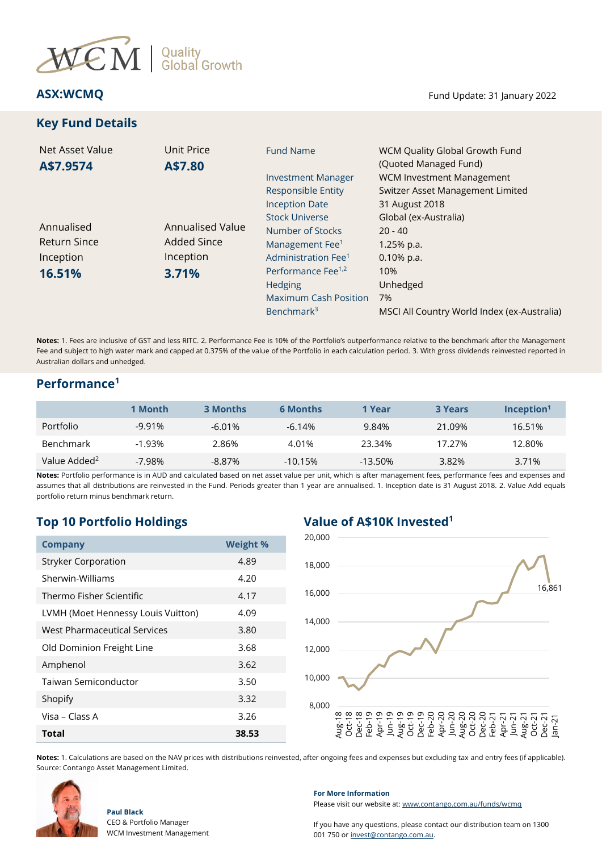

# **Key Fund Details**

**ASX:WCMQ** Fund Update: 31 January 2022

| Net Asset Value     | Unit Price         | <b>Fund Name</b>                                       | WCM Quality Global Growth Fund                                                                |
|---------------------|--------------------|--------------------------------------------------------|-----------------------------------------------------------------------------------------------|
| A\$7.9574           | A\$7.80            | <b>Investment Manager</b><br><b>Responsible Entity</b> | (Quoted Managed Fund)<br><b>WCM Investment Management</b><br>Switzer Asset Management Limited |
|                     |                    | <b>Inception Date</b>                                  | 31 August 2018                                                                                |
|                     |                    | <b>Stock Universe</b>                                  | Global (ex-Australia)                                                                         |
| Annualised          | Annualised Value   | Number of Stocks                                       | $20 - 40$                                                                                     |
| <b>Return Since</b> | <b>Added Since</b> | Management Fee <sup>1</sup>                            | $1.25%$ p.a.                                                                                  |
| Inception           | Inception          | Administration Fee <sup>1</sup>                        | $0.10\%$ p.a.                                                                                 |
| 16.51%              | 3.71%              | Performance Fee <sup>1,2</sup>                         | 10%                                                                                           |
|                     |                    | Hedging                                                | Unhedged                                                                                      |
|                     |                    | <b>Maximum Cash Position</b>                           | 7%                                                                                            |
|                     |                    | Benchmark <sup>3</sup>                                 | MSCI All Country World Index (ex-Australia)                                                   |

**Notes:** 1. Fees are inclusive of GST and less RITC. 2. Performance Fee is 10% of the Portfolio's outperformance relative to the benchmark after the Management Fee and subject to high water mark and capped at 0.375% of the value of the Portfolio in each calculation period. 3. With gross dividends reinvested reported in Australian dollars and unhedged.

### **Performance<sup>1</sup>**

|                          | 1 Month  | <b>3 Months</b> | <b>6 Months</b> | 1 Year    | <b>3 Years</b> | $Inc$ eption <sup>1</sup> |
|--------------------------|----------|-----------------|-----------------|-----------|----------------|---------------------------|
| Portfolio                | $-9.91%$ | $-6.01%$        | $-6.14%$        | 9.84%     | 21.09%         | 16.51%                    |
| <b>Benchmark</b>         | $-1.93%$ | 2.86%           | 4.01%           | 23.34%    | 17.27%         | 12.80%                    |
| Value Added <sup>2</sup> | $-7.98%$ | $-8.87\%$       | $-10.15%$       | $-13.50%$ | 3.82%          | 3.71%                     |

**Notes:** Portfolio performance is in AUD and calculated based on net asset value per unit, which is after management fees, performance fees and expenses and assumes that all distributions are reinvested in the Fund. Periods greater than 1 year are annualised. 1. Inception date is 31 August 2018. 2. Value Add equals portfolio return minus benchmark return.

## **Top 10 Portfolio Holdings Value of A\$10K Invested<sup>1</sup>**

| <b>Company</b>                     | <b>Weight %</b> |  |
|------------------------------------|-----------------|--|
| <b>Stryker Corporation</b>         | 4.89            |  |
| Sherwin-Williams                   | 4.20            |  |
| Thermo Fisher Scientific           | 4.17            |  |
| LVMH (Moet Hennessy Louis Vuitton) | 4.09            |  |
| West Pharmaceutical Services       | 3.80            |  |
| Old Dominion Freight Line          | 3.68            |  |
| Amphenol                           | 3.62            |  |
| Taiwan Semiconductor               | 3.50            |  |
| Shopify                            | 3.32            |  |
| Visa – Class A                     | 3.26            |  |
| <b>Total</b>                       | 38.53           |  |



**Notes:** 1. Calculations are based on the NAV prices with distributions reinvested, after ongoing fees and expenses but excluding tax and entry fees (if applicable). Source: Contango Asset Management Limited.



**Paul Black**

CEO & Portfolio Manager WCM Investment Management **For More Information**

Please visit our website at[: www.contango.com.au/funds/wcmq](file://///192.168.5.184/archive/dc01-contango/Switzer%20Asset%20Management/WCM%20Quality%20Global%20Growth%20Fund%20(Quoted%20Managed%20Fund)/Reporting/Monthly%20NTA%20and%20Portfolio%20Report/2021/Redesign%20WCMQ%20NTA%20draft/www.contango.com.au/funds/wcmq)

If you have any questions, please contact our distribution team on 1300 001 750 or [invest@contango.com.au.](mailto:invest@contango.com.au)